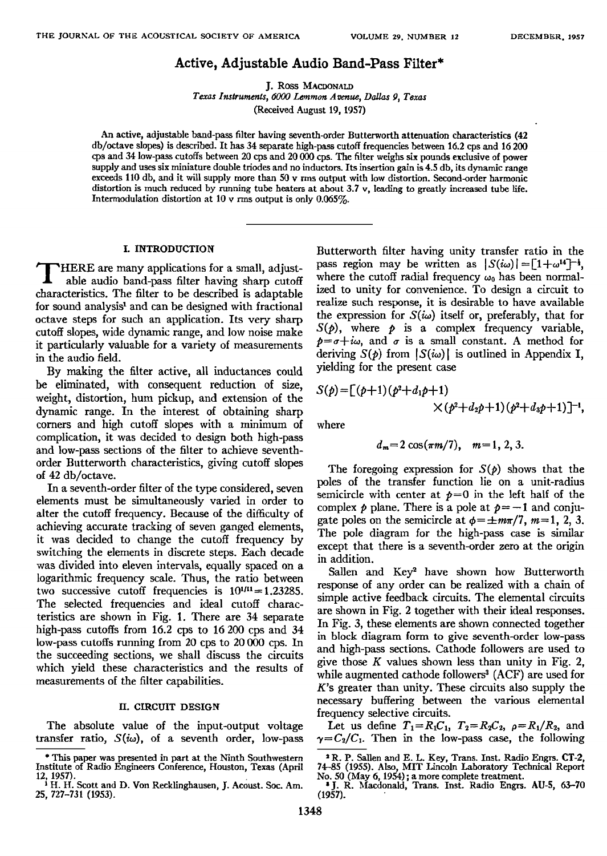## **Active, Adjustable Audio Band-Pass Filter\***

**J. Ross** 

Texas Instruments, 6000 Lemmon Avenue, Dallas 9, Texas **(Received August 19, 1957)** 

**An active, adjustable band-pass filter having seventh-order Butterworth attenuation characteristics (42 db/octave slopes) is described. It has 34 separate high-pass cutoffrequencies between 16.2 cps mad 16 200 cps and 34 low-pass cutoffs between 20 cps and 20 000 cps. The filter weighsix pounds exclusive of power supply mad uses six miniature double triodes and no inductors. Its insertion gain is 4.5 db, its dynamic range exceeds 110 db, and it will supply more than 50 v rms output with low distortion. Second-order harmonic distortion is much reduced by running tube heaters at about 3.7 v, leading to greatly increased tube life. Intermodulation distortion at 10 v rms output is only 0.065%.** 

## **L INTRODUCTION**

HERE are many applications for a small, adjust-<br>able audio band-pass filter having sharp cutoff **characteristics. The filter to be described is adaptable**  for sound analysis<sup>1</sup> and can be designed with fractional **octave steps for such an application. Its very sharp cutoff slopes, wide dynamic range, and low noise make it particularly valuable for a variety of measurements in the audio field.** 

**By making the filter active, all inductances could be eliminated, with consequent reduction of size, weight, distortion, hum pickup, and extension of the dynamic range. In the interest of obtaining sharp corners and high cutoff slopes with a minimum of complication, it was decided to desigu both high-pass and low-pass sections of the filter to achieve seventhorder Butterworth characteristics, giving cutoff slopes**  of 42 db/octave.

**In a seventh-order filter of the type considered, seven elements must be simultaneously varied in order to**  alter the cutoff frequency. Because of the difficulty of **achieving accurate tracking of seven ganged elements, it was decided to change the cutoff frequency by switching the elements in discrete steps. Each decade was divided into eleven intervals, equally spaced on a logarithmic frequency scale. Thus, the ratio between**  two successive cutoff frequencies is  $10^{1/11} = 1.23285$ . The selected frequencies and ideal cutoff charac**teristics are shown in Fig. 1. There are 34 separate high-pass cutoffs from 16.2 cps to 16 200 cps and 34 low-pass cutoffs running from 20 cps to 20 000 cps. In the succeeding sections, we shall discuss the circuits which yield these characteristics and the results of**  measurements of the filter capabilities.

### **II. CIRCUIT DESIGN**

**The absolute value of the input-output voltage transfer ratio,**  $S(i\omega)$ , of a seventh order, low-pass **Butterworth filter having unity transfer ratio in the**  pass region may be written as  $|S(i\omega)| = [1 + \omega^{14}]^{-\frac{1}{2}}$ , where the cutoff radial frequency  $\omega_0$  has been normal**ized to unity for convenience. To design a circuit to realize such response, it is desirable to have available**  the expression for  $S(\omega)$  itself or, preferably, that for  $S(\rho)$ , where  $\rho$  is a complex frequency variable,  $p = \sigma + i\omega$ , and  $\sigma$  is a small constant. A method for deriving  $S(\phi)$  from  $|S(i\omega)|$  is outlined in Appendix **I**, **yielding for the present case** 

$$
S(p) = [ (p+1)(p^2 + d_1p + 1) \times (p^2 + d_2p + 1)(p^2 + d_3p + 1)]^{-1},
$$

**where** 

$$
d_m=2\cos(\pi m/7), m=1, 2, 3.
$$

The foregoing expression for  $S(\rho)$  shows that the **poles of the transfer function lie on a unit-radius**  semicircle with center at  $p=0$  in the left half of the complex  $p$  plane. There is a pole at  $p = -1$  and conjugate poles on the semicircle at  $\phi = \pm m\pi/7$ ,  $m=1, 2, 3$ . **The pole diagram for the high-pass case is similar except that there is a seventh-order zero at the origin in addition.** 

Sallen and Key<sup>2</sup> have shown how Butterworth **response of any order can be realized with a chain of simple active feedback circuits. The elemental circuits are shown in Fig. 2 together with their ideal responses. In Fig. 3, these elements are shown connected together in block diagram form to give seventh-order low-pass and high-pass sections. Cathode followers are used to give those K values shown less than unity in Fig. 2,**  while augmented cathode followers<sup>3</sup> (ACF) are used for **K's greater than unity. These circuits also supply the necessary buffering between the various elemental frequency selective circuits.** 

Let us define  $T_1=R_1C_1$ ,  $T_2=R_2C_2$ ,  $\rho=R_1/R_2$ , and  $\gamma = C_2/C_1$ . Then in the low-pass case, the following

**<sup>\*</sup> This paper was presented in part at the Ninth Southwestern Institute of Radio Engineers Conference, Houston, Texas (April** 

**<sup>12, 1957).</sup>  • H. H. Scott and D. Von Recklinghausen, .L Ac•ust. Soc. Am. 25, 727-731 (1953).** 

<sup>&</sup>lt;sup>2</sup> R. P. Sallen and E. L. Key, Trans. Inst. Radio Engrs. CT-2,<br>74–85 (1955). Also, MIT Lincoln Laboratory Technical Report<br>No. 50 (May 6, 1954); a more complete treatment.<br><sup>2</sup> J. R. Macdonald, Trans. Inst. Radio Engrs. AU

**<sup>(19</sup>s7).**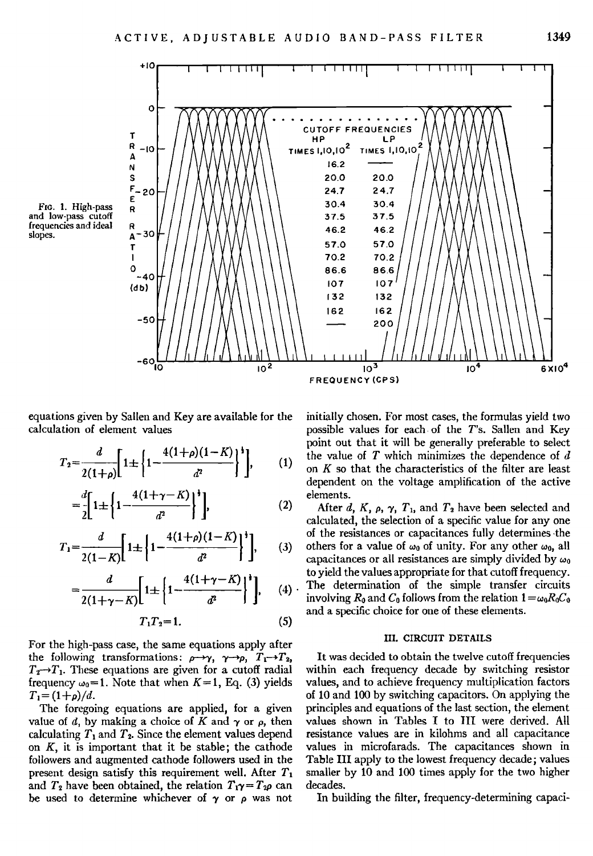**F[o. 1. High-pass and low-pass cutoff frequencies and ideal slopes.** 



**equations given by Sallen and Key are available for the calculation of element values** 

$$
T_2 = \frac{d}{2(1+\rho)} \left[ 1 \pm \left\{ 1 - \frac{4(1+\rho)(1-K)}{d^2} \right\}^1 \right], \qquad (1)
$$

$$
=\frac{d}{2}\left[1\pm\left\{1-\frac{4(1+\gamma-K)}{d^2}\right\}^*\right],
$$
\n(2)

$$
T_1 = \frac{d}{2(1-K)} \left[ 1 \pm \left\{ 1 - \frac{4(1+\rho)(1-K)}{d^2} \right\}^{\dagger} \right], \qquad (3)
$$

$$
=\frac{d}{2(1+\gamma-K)}\left[1\pm\left\{1-\frac{4(1+\gamma-K)}{d^2}\right\}^*\right],\quad(4)\cdot\frac{\text{top }y}{\text{inv}}\\
$$

$$
T_1T_2=1.\t\t(5)
$$

**For the high-pass case, the same equations apply after**  the following transformations:  $\rho \rightarrow \gamma$ ,  $\gamma \rightarrow \rho$ ,  $T_1 \rightarrow T_2$ ,  $T_2 \rightarrow T_1$ . These equations are given for a cutoff radial frequency  $\omega_0 = 1$ . Note that when  $K = 1$ , Eq. (3) yields  $T_1 = (1 + \rho)/d$ .

**The foregoing equations are applied, for a given value of d, by making a choice of K and**  $\gamma$  **or**  $\rho$ **, then** calculating  $T_1$  and  $T_2$ . Since the element values depend **on K, it is important that it be stable; the cathode followers and augmented cathode followers used in the**  present design satisfy this requirement well. After  $T_1$ and  $T_2$  have been obtained, the relation  $T_1 \gamma = T_2 \rho$  can be used to determine whichever of  $\gamma$  or  $\rho$  was not **initially chosen. For most cases, the formulas yield two possible values for each-of the T's. Sallen and Key point out that it will be generally preferable to select the value of T which minimizes the dependence of d on K so that the characteristics of the filter are least dependent on the voltage amplification of the active elements.** 

After d,  $K_1$ ,  $\rho$ ,  $\gamma$ ,  $T_1$ , and  $T_2$  have been selected and **calculated, the selection of a specific value for any one of the resistances or capacitances fully determines .the**  others for a value of  $\omega_0$  of unity. For any other  $\omega_0$ , all capacitances or all resistances are simply divided by  $\omega_0$ **to yield the values appropriate for that cutoff frequency. .The determination of the simple transfer circuits**  involving  $R_0$  and  $C_0$  follows from the relation  $1 = \omega_0 R_0 C_0$ **and a specific choice for one of these elements.** 

## **III. CIRCUIT DETAILS**

**It was decided to obtain the twelve cutoff frequencies within each frequency decade by switching resistor values, and to achieve frequency multiplication factors of 10 and 100 by switching capacitors. On applying the principles and equations of the last section, the element**  values shown in Tables I to III were derived. All **resistance values are in kilohms and all capacitance values in microfarads. The capacitances shown in Table III apply to the lowest frequency decade; values smaller by 10 and 100 times apply for the two higher decades.** 

**In building the filter, frequency-determining capaci-**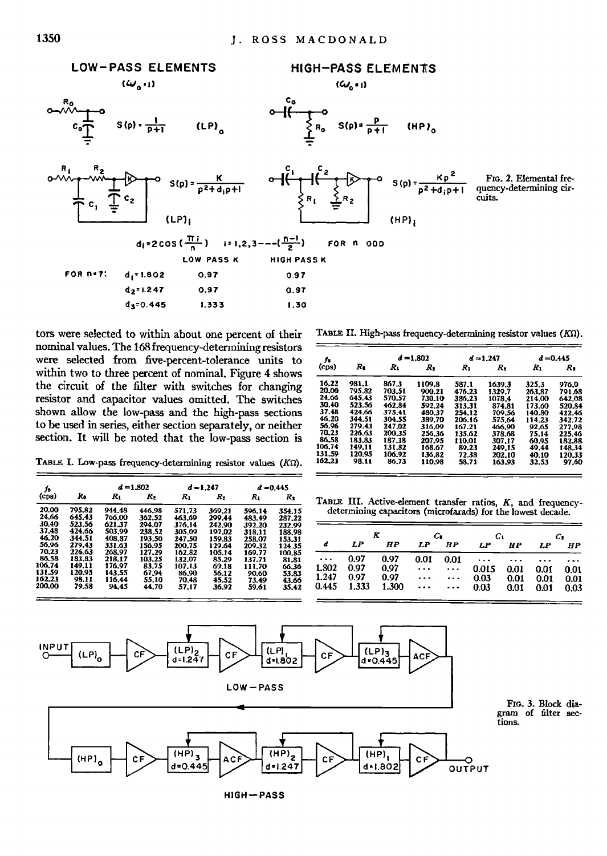

**nominal values. The 168 frequency-determining resistors**  were selected from five-percent-tolerance units to **within two to three percent of nominal. Figure 4 shows**  the circuit of the filter with switches for changing resistor and capacitor values omitted. The switches shown allow the low-pass and the high-pass sections to be used in series, either section separately, or neither section. It will be noted that the low-pass section is

tors were selected to within about one percent of their TABLE II. High-pass frequency-determining resistor values (KQ).

| t.     |        |        | $d = 1.802$ |        | $d = 1.247$ | $d = 0.445$ |        |  |  |
|--------|--------|--------|-------------|--------|-------------|-------------|--------|--|--|
| (cps)  | R.     | $R_1$  | R,          | Rı     | R,          | $R_1$       | R.     |  |  |
| 16.22  | 981.1  | 867.3  | 1109.8      | 587.1  | 1639.3      | 325.3       | 976.0  |  |  |
| 20.00  | 795.82 | 703.51 | 900.21      | 476.23 | 1329.7      | 263.87      | 791.68 |  |  |
| 24.66  | 645.43 | 570.57 | 730.10      | 386.23 | 1078.4      | 214.00      | 642.08 |  |  |
| 30.40  | 523.56 | 462.84 | 592.24      | 313.31 | 874.81      | 173.60      | 520.84 |  |  |
| 37.48  | 424.66 | 375.41 | 480.37      | 254.12 | 709.56      | 140.80      | 422.46 |  |  |
| 46.20  | 344.51 | 304.55 | 389.70      | 206.16 | 575.64      | 114.23      | 342.72 |  |  |
| 56.96  | 279.43 | 247.02 | 316.09      | 167.21 | 466.90      | 92.65       | 277.98 |  |  |
| 70.23  | 226.63 | 200.35 | 256.36      | 135.62 | 378.68      | 75.14       | 225.46 |  |  |
| 86.58  | 183.83 | 187.38 | 207.95      | 110.01 | 307.17      | 60.95       | 182.88 |  |  |
| 106.74 | 149.11 | 131.82 | 168.67      | 89.23  | 249.15      | 49.44       | 148.34 |  |  |
| 131.59 | 120.95 | 106.92 | 136.82      | 72.38  | 202.10      | 40.10       | 120.33 |  |  |
| 162.23 | 98.11  | 86.73  | 110.98      | 58.71  | 163.93      | 32.53       | 97.60  |  |  |

TABLE I. Low-pass frequency-determining resistor values (KΩ).

| Jо                      |                            | $d = 1.802$                |                            | $d = 1.247$                |                            | $d = 0.445$                |                            |                |              |                                              |                                              |               |              |  |
|-------------------------|----------------------------|----------------------------|----------------------------|----------------------------|----------------------------|----------------------------|----------------------------|----------------|--------------|----------------------------------------------|----------------------------------------------|---------------|--------------|--|
| (cps)                   | R.                         | Rı                         | $R_2$                      | $R_1$                      | $R_2$                      | R.                         | $R_2$                      |                |              | TABLE III. Active-element transfer ratios, B |                                              |               |              |  |
| 20.00<br>24.66          | 795.82<br>645.43           | 944.48<br>766.00           | 446.98<br>362.52           | 571.73<br>463.69           | 369.21<br>299,44           | 596.14<br>483.49           | 354.15<br>287.22           |                |              |                                              | determining capacitors (microfarads) for the |               |              |  |
| 30.40<br>37.48<br>46.20 | 523.56<br>424.66<br>344.51 | 621.37<br>503.99<br>408.87 | 294.07<br>238.52<br>193.50 | 376.14<br>305.09<br>247.50 | 242.90<br>197.02<br>159.83 | 392.20<br>318.11<br>258.07 | 232.99<br>188.98<br>153.31 |                | K            |                                              | c.                                           |               | $C_{1}$      |  |
| 56,96<br>70.23          | 279.43<br>226.63           | 331.63<br>268,97           | 156.95<br>127.29           | 200.75<br>162.82           | 129.64<br>105.14           | 209.32<br>169.77           | 124.35<br>100.85           | d              | LΡ           | <b>HP</b>                                    | LP                                           | <b>HP</b>     | LP           |  |
| 86.58<br>106,74         | 183.83<br>149.11           | 218.17<br>176.97           | 103.25<br>83.75            | 132.07<br>107.13           | 85.29                      | 137.71                     | 81.81                      | $\cdots$       | 0.97         | 0.97                                         | 0.01                                         | 0.01          | $\cdots$     |  |
| 131.59                  | 120.95                     | 143.55                     | 67.94                      | 86.90                      | 69.18<br>56.12             | 111.70<br>90.60            | 66,36<br>53.83             | 1.802<br>1.247 | 0.97<br>0.97 | 0.97<br>0.97                                 | $\cdots$                                     | $\cdots$      | 0.015        |  |
| 162.23<br>200,00        | 98.11<br>79.58             | 116.44<br>94.45            | 55.10<br>44.70             | 70.48<br>57.17             | 45.52<br>36.92             | 73.49<br>59.61             | 43.66<br>35.42             | 0.445          | 1.333        | 1.300                                        | $\cdots$<br>$\cdots$                         | $\cdots$<br>. | 0.03<br>0.03 |  |

TABLE III. Active-element transfer ratios, K, and frequencydetermining capacitors (microfarads) for the lowest decade.

| ------<br>30.40  | ------<br>523.56 | 1.99.99<br>621.37 | -----<br>294.07  | ------<br>376.14 | <br>242.90       | $-0.1.77$<br>392.20 |                            |          |       |           |          |                  |       |      |          |      |
|------------------|------------------|-------------------|------------------|------------------|------------------|---------------------|----------------------------|----------|-------|-----------|----------|------------------|-------|------|----------|------|
| 37.48<br>46.20   | 424.66<br>344.51 | 503.99<br>408.87  | 238.52<br>193.50 | 305.09<br>247.50 | 197.02<br>159.83 | 318.11<br>258.07    | 232.99<br>188.98<br>153.31 |          |       |           |          |                  |       |      |          |      |
| 56,96            | 279.43           | 331.63            | 156.95           | 200.75           | 129.64           | 209.32              | 124.35                     |          | LP    | <b>HP</b> | LP       | <i><b>HP</b></i> | I.P   | HP   | LP       | HP   |
| 70.23<br>86.58   | 226.63<br>183.83 | 268.97<br>218.17  | 127.29<br>103.25 | 162.82<br>132.07 | 105.14<br>85.29  | 169.77<br>137.71    | 100.85<br>81.81            | $\cdots$ | 0.97  | 0.97      | 0.01     |                  | .     | .    | $\cdots$ |      |
| 106.74<br>131.59 | 149.11           | 176.97            | 83.75            | 107.13           | 69.18            | 111.70              | 66.36                      | 1.802    | 0.97  | 0.97      | $\cdots$ | .                | 0.015 | 0.01 |          | 0.01 |
| 162.23           | 120.95<br>98.11  | 143.55<br>116.44  | 67.94<br>55.10   | 86.90<br>70.48   | 56.12<br>45.52   | 90.60<br>73.49      | 53.83<br>43.66             | 1.247    | 0.97  | 0.97      | .        | $\cdots$         | 0.03  | 0.01 | 0.01     | 0.01 |
| 200.00           | 79.58            | 94.45             | 44.70            | 57.17            | 36.92            | 59.61               | 35.42                      | 0.445    | 1.333 | .300      | $\cdots$ | .                | 0.03  | 0.01 | 0.01     | 0.03 |
|                  |                  |                   |                  |                  |                  |                     |                            |          |       |           |          |                  |       |      |          |      |

**Fxo. 3. Block diagram of falter sec-**

**tions.** 



**HIGH•PASS**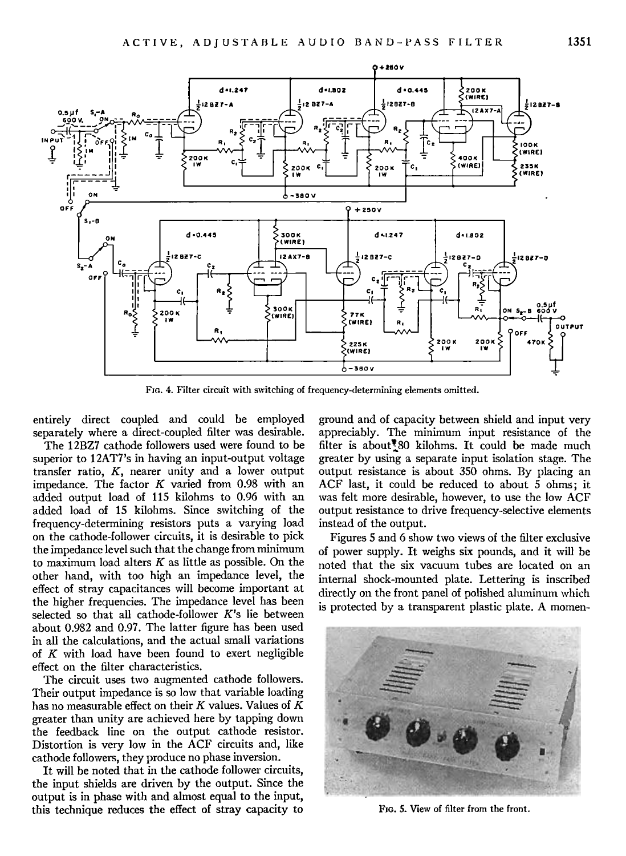

**Fro. 4. Filter circuit with switching of frequency-determining elements omitted.** 

**entirely direct coupled and could be employed separately where a direct-coupled filter was desirable.** 

**The 12BZ7 cathode followers used were found to be superior to 12AT7's in having an input-output voltage transfer ratio, K, nearer unity and a lower output impedance. The factor K varied from 0.98 with an added output load of 115 kilohms to 0.96 with an added load of 15 kilohms. Since switching of the frequency-determining resistors puts a varying load on the cathode-follower circuits, it is desirable to pick**  the impedance level such that the change from minimum **to maximum load alters K as little as possible. On the other hand, with too high an impedance level, the effect of stray capacitances will become important at the higher frequencies. The impedance level has been selected so that all cathode-follower K's lie between about 0.982 and 0.97. The latter figure has been used in all the calculations, and the actual small variations of K with load have been found to exert negligible effect on the filter characteristics.** 

**The circuit uses two augmented cathode followers. Their output impedance is so low that variable loading has no measurable effect on their K values. Values of K greater than unity are achieved here by tapping down the feedback line on the output cathode resistor. Distortion is very low in the ACF circuits and, like cathode followers, they produce no phase inversion.** 

**It will be noted that in the cathode follower circuits, the input shields are driven by the output. Since the output is in phase with and almost equal to the input, this technique reduces the effect of stray capacity to**  **ground and of capacity between shield and input very appreciably. The minimum input resistance of the**  filter is about<sup>7</sup><sub>20</sub> kilohms. It could be made much **greater by using a separate input isolation stage. The output resistance is about 350 ohms. By placing an ACF last, it could be reduced to about 5 ohms; it was felt more desirable, however, to use the low ACF output resistance to drive frequency-selective elements instead of the output.** 

**Figures 5 and 6 show two views of the filter exclusive of power supply. It weighs six pounds, and it will be noted that the six vacuum tubes are located on an internal shock-mounted plate. Lettering is inscribed directly on the front panel of polished aluminum which is protected by a transparent plastic plate. A momen-**



**Fxo. 5. View of filter from the front.**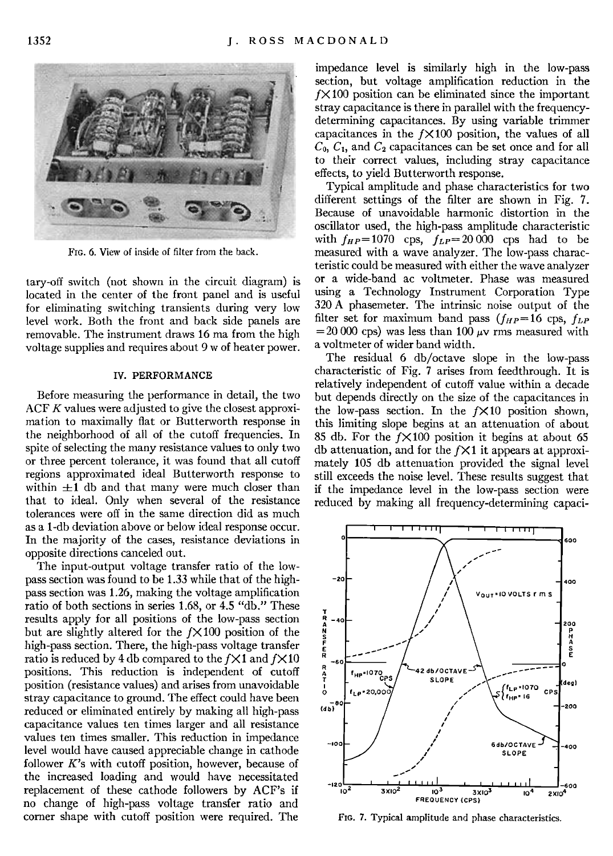

**Fro. 6. View of inside of filter from the back.** 

**tary-off switch (not shown in the circuit diagram) is located in the center of the front panel and is useful for eliminating switching transients during very low level work. Both the front and back side panels are removable. The instrument draws 16 ma from the high voltage supplies and requires about 9 w of heater power.** 

### **IV. PERFORMANCE**

**Before measuring the performance in detail, the two ACF K values were adjusted to give the closest approximation to maximally flat or Butterworth response in the neighborhood of all of the cutoff frequencies. In spite of selecting the many resistance values to only two or three percent tolerance, it was found that all cutoff regions approximated ideal Butterworth response to**  within  $\pm 1$  db and that many were much closer than **that to ideal. Only when several of the resistance**  tolerances were off in the same direction did as much **as a 1-db deviation above or below ideal response occur. In the majority of the cases, resistance deviations in opposite directions canceled out.** 

**The input-output voltage transfer ratio of the lowpass section was found to be 1.33 while that of the highpass section was 1.26, making the voltage amplification ratio of both sections in series 1.68, or 4.5 "db." These results apply for all positions of the low-pass section**  but are slightly altered for the  $f \times 100$  position of the high-pass section. There, the high-pass voltage transfer ratio is reduced by 4 db compared to the  $f \times 1$  and  $f \times 10$ **positions. This reduction is independent of cutoff position (resistance values) and arises from unavoidable stray capacitance to ground. The effect could have been reduced or eliminated entirely by making all high-pass capacitance values ten times larger and all resistance values ten times smaller. This reduction in impedance level would have caused appreciable change in cathode follower K's with cutoff position, however, because of the increased loading and would have necessitated replacement of these cathode followers by ACF's if no change of high-pass voltage transfer ratio and corner shape with cutoff position were required. The** 

**impedance level is similarly high in the low-pass section, but voltage amplification reduction in the fX 100 position can be eliminated since the important stray capacitance is there in parallel with the frequencydetermining capacitances. By using variable trimmer**  capacitances in the  $f \times 100$  position, the values of all  $C_0$ ,  $C_1$ , and  $C_2$  capacitances can be set once and for all **to their correct values, including stray capacitance effects, to yield Butterworth response.** 

**Typical amplitude and phase characteristics for two different settings of the filter are shown in Fig. 7. Because of unavoidable harmonic distortion in the oscillator used, the high-pass amplitude characteristic**  with  $f_{HP} = 1070$  cps,  $f_{LP} = 20000$  cps had to be **measured with a wave analyzer. The low-pass characteristic could be measured with either the wave analyzer or a wide-band ac voltmeter. Phase was measured using a Technology Instrument Corporation Type 320 A phasemeter. The intrinsic noise output of the**  filter set for maximum band pass  $(f_{HP} = 16 \text{ cps}, f_{LP})$  $= 20000$  cps) was less than 100  $\mu$ v rms measured with **a voltmeter of wider band width.** 

**The residual 6 db/octave slope in the low-pass characteristic of Fig. 7 arises from feedthrough. It is relatively independent of cutoff value within a decade but depends directly on the size of the capacitances in**  the low-pass section. In the  $f \times 10$  position shown, **this limiting slope begins at an attenuation of about 85 db. For the fX100 position it begins at about 65 db attenuation, and for the fX 1 it appears at approximately 105 db attenuation provided the signal level still exceeds the noise level. These results suggest that if the impedance level in the low-pass section were reduced by making all frequency-determining capaci-**



FIG. 7. Typical amplitude and phase characteristics.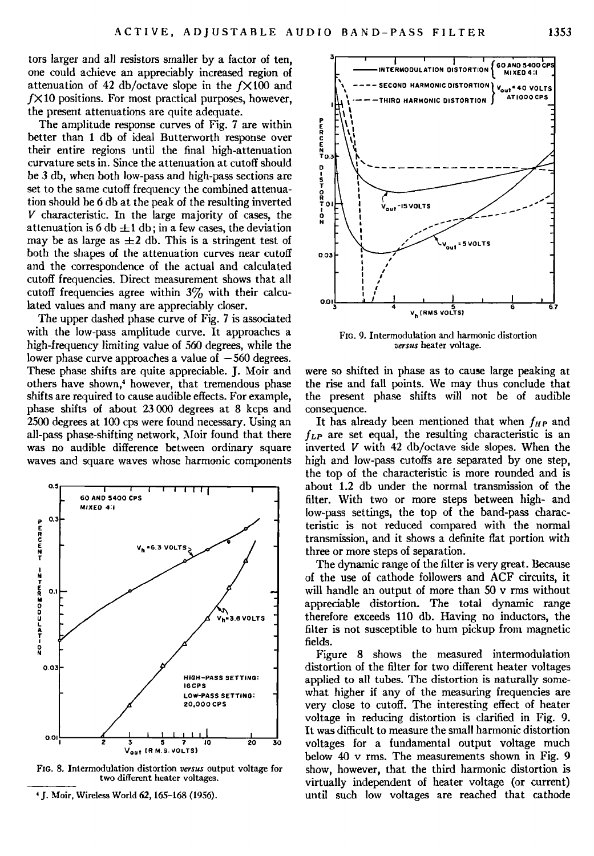tors larger and all resistors smaller by a factor of ten, **one could achieve an appreciably increased region of attenuation of 42 db/octave slope in the fX100 and fX 10 positions. For most practical purposes, however, the present attenuations are quite adequate.** 

**The amplitude response curves of Fig. 7 are within better than 1 db of ideal Butterworth response over their entire regions until the final high-attenuation curvature sets in. Since the attenuation at cutoff should be 3 db, when both low-pass and high-pass sections are set to the same cutoff frequency the combined attenuation should be 6 db at the peak of the resulting inverted V characteristic. In the large majority of cases, the**  attenuation is  $6 \, \text{db} \pm 1 \, \text{db}$ ; in a few cases, the deviation may be as large as  $\pm 2$  db. This is a stringent test of **both the shapes of the attenuation curves near cutoff and the correspondence of the actual and calculated cutoff frequencies. Direct measurement shows that all cutoff frequencies agree within 3% with their calculated values and many are appreciably closer.** 

**The upper dashed phase curve of Fig. 7 is associated with the low-pass amplitude curve. It approaches a**  high-frequency limiting value of 560 degrees, while the lower phase curve approaches a value of  $-560$  degrees. **These phase shifts are quite appreciable. J. Moir and**  others have shown,<sup>4</sup> however, that tremendous phase **shifts are required to cause audible effects. For example, phase shifts of about 23 000 degrees at 8 kcps and 2500 degrees at 100 cps were found necessary. Using an all-pass phase-shifting network, Moir found that there was no audible difference between ordinary square waves and square waves whose harmonic components** 



FIG. 8. Intermodulation distortion versus output voltage for two different heater voltages.



**FIG. 9. Intermodulation and harmonic distortion**  versus heater voltage.

**were so shifted in phase as to cause large peaking at the rise and fall points. We may thus conclude that the present phase shifts will not be of audible consequence.** 

It has already been mentioned that when  $f_{HP}$  and  $f_{LP}$  are set equal, the resulting characteristic is an **inverted V with 42 db/octave side slopes. When the high and low-pass cutoffs are separated by one step, the top of the characteristic is more rounded and is about 1.2 db under the normal transmission of the filter. With two or more steps between high- and low-pass settings, the top of the band-pass characteristic is not reduced compared with the normal transmission, and it shows a definite flat portion with three or more steps of separation.** 

**The dynamic range of the filter is very great. Because of the use of cathode followers and ACF circuits, it will handle an output of more than 50 v rms without appreciable distortion. The total dynamic range**  therefore exceeds 110 db. Having no inductors, the **filter is not susceptible to hum pickup from magnetic fields.** 

**Figure 8 shows the measured intermodulation distortion of the filter for two different heater voltages applied to all tubes. The distortion is naturally somewhat higher if any of the measuring frequencies are very close to cutoff. The interesting effect of heater voltage in reducing distortion is clarified in Fig. 9. It was difficult to measure the small harmonic distortion voltages for a fundamental output voltage much below 40 v rms. The measurements shown in Fig. 9 show, however, that the third harmonic distortion is virtually independent of heater voltage (or current) until such low voltages are reached that cathode** 

<sup>&</sup>lt;sup>4</sup> J. Moir, Wireless World 62, 165-168 (1956).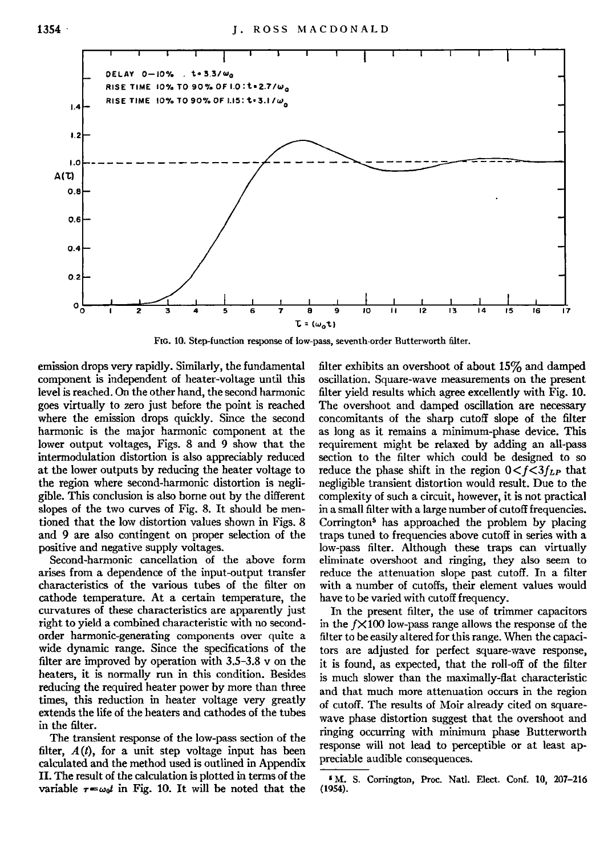

**F[o. 10. Step-function response of low-pass, seventh-order Butterworth filter.** 

**emission drops very rapidly. Similarly, the fundamental component is independent of heater-voltage until this level is reached. On the other hand, the second harmonic goes virtually to zero just before the point is reached where the emission drops quickly. Since the second harmonic is the major harmonic component at the lower output voltages, Figs. 8 and 9 show that the intermodulation distortion is also appreciably reduced at the lower outputs by reducing the heater voltage to the region where second-harmonic distortion is negligible. This conclusion isalso borne out by the different slopes of the two curves of Fig. 8. It should be mentioned that the low distortion values shown in Figs. 8 and 9 are also contingent on proper selection of the positive and negative supply voltages.** 

**Second-harmonic cancellation of the above form arises from a dependence of the input-output transfer characteristics of the various tubes of the filter on cathode temperature. At a certain temperature, the curvatures of these characteristics are apparently just right to yield a combined characteristic with no secondorder harmonic-generating components over quite a wide dynamic range. Since the specifications of the filter are improved by operation with 3.5-3.8 v on the heaters, it is normally run in this condition. Besides reducing the required heater power by more than three times, this reduction in heater voltage very greatly extends the life of the heaters and cathodes of the tubes in the filter.** 

**The transient response of the low-pass section of the filter, A(t), for a unit step voltage input has been calculated and the method used is outlhed in Appendix II. The result of the calculation is plotted in terms of the**  variable  $\tau = \omega_0 t$  in Fig. 10. It will be noted that the **filter exhibits an overshoot of about 15% and damped oscillation. Square-wave measurements on the present filter yield results which agree excellently with Fig. 10. The overshoot and damped oscillation are necessary concomitants of the sharp cutoff slope of the filter as long as it remains a minimum-phase device. This requirement might be relaxed by adding an all-pass section to the filter which could be designed to so**  reduce the phase shift in the region  $0 < f < 3f_{LP}$  that **negligible transient distortion would result. Due to the complexity of such a circuit, however, it is not practical in a small filter with a large number of cutoff frequencies.**  Corrington<sup>5</sup> has approached the problem by placing **traps tuned to frequencies above cutoff in series with a low-pass filter. Although these traps can virtually eliminate overshoot and ringing, they also seem to reduce the attenuation slope past cutoff. In a filter with a number of cutoffs, their element values would have to be varied with cutoff frequency.** 

**In the present filter, the use of trimmer capacitors in the fX100 low-pass range allows the response of the filter to be easily altered for this range. When the capacitors are adjusted for perfect square-wave response, it is found, as expected, that the roll-off of the filter is much slower than the maximally-flat characteristic and that much more attenuation occurs in the region of cutoff. The results of Moir already cited on square**wave phase distortion suggest that the overshoot and **ringing occurring with minimum phase Butterworth response will not lead to perceptible or at least appreciable audible consequences.** 

**<sup>•</sup>M. S. Corrington, Proc. Natl. Elect. Conf. 10, 201-216**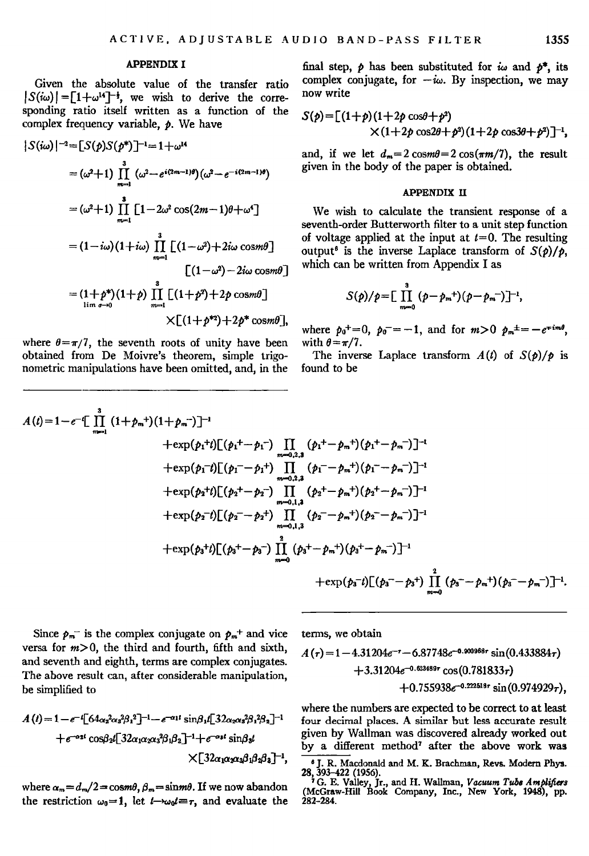### **APPENDIX I**

**Given the absolute value of the transfer ratio**   $|S(i\omega)| = [1 + \omega^{14}]^{-\frac{1}{2}}$ , we wish to derive the corre**sponding ratio itself written as a function of the complex frequency variable, p. We have** 

$$
|S(i\omega)|^{-2} = [S(p)S(p^*)]^{-1} = 1 + \omega^{14}
$$
  
\n
$$
= (\omega^2 + 1) \prod_{m=1}^{3} (\omega^2 - e^{i(2m-1)\theta})(\omega^2 - e^{-i(2m-1)\theta})
$$
  
\n
$$
= (\omega^2 + 1) \prod_{m=1}^{3} [1 - 2\omega^2 \cos(2m - 1)\theta + \omega^4]
$$
  
\n
$$
= (1 - i\omega)(1 + i\omega) \prod_{m=1}^{3} [(1 - \omega^2) + 2i\omega \cos m\theta]
$$
  
\n
$$
= (1 + p^*)(1 + p) \prod_{m=1}^{3} [(1 + p^2) + 2p \cos m\theta]
$$
  
\n
$$
\times [(1 + p^{*2}) + 2p^* \cos m\theta],
$$

where  $\theta = \pi/7$ , the seventh roots of unity have been **obtained from De Moivre's theorem, simple trigonometric manipulations have been omitted, and, in the**  final step,  $\rho$  has been substituted for  $\omega$  and  $\rho^*$ , its complex conjugate, for  $-i\omega$ . By inspection, we may **now write** 

$$
S(p) = [(1+p)(1+2p\cos\theta + p^2) \times (1+2p\cos 2\theta + p^2)(1+2p\cos 3\theta + p^2)]^{-1},
$$

and, if we let  $d_m = 2 \cos(m\theta) = 2 \cos(\pi m/7)$ , the result **given in the body of the paper is obtained.** 

#### **APPENDIX II**

**We wish to calculate the transient response of a seventh-order Butterworth filter to a unit step function**  of voltage applied at the input at  $t=0$ . The resulting output<sup>8</sup> is the inverse Laplace transform of  $S(p)/p$ , which can be written from Appendix I as

$$
S(\rho)/\rho = \left[\prod_{m=0}^{3}(\rho-\rho_m^{+})(\rho-\rho_m^{-})\right]^{-1},
$$

where  $p_0^+ = 0$ ,  $p_0^- = -1$ , and for  $m > 0$   $p_m^+ = -e^{+im\theta}$ , with  $\theta = \pi/7$ .

The inverse Laplace transform  $A(t)$  of  $S(\phi)/\phi$  is **found to be** 

$$
A(t)=1-e^{-t}\left[\prod_{m=1}^{3} (1+p_m^{+})(1+p_m^{-})\right]^{-1}
$$
\n
$$
+\exp(p_1^{+}t)\left[(p_1^{+}-p_1^{-})\prod_{m=0,2,3} (p_1^{+}-p_m^{+})(p_1^{+}-p_m^{-})\right]^{-1}
$$
\n
$$
+\exp(p_1^{-}t)\left[(p_1^{-}-p_1^{+})\prod_{m=0,2,3} (p_1^{-}-p_m^{+})(p_1^{-}-p_m^{-})\right]^{-1}
$$
\n
$$
+\exp(p_2^{+}t)\left[(p_2^{+}-p_2^{-})\prod_{m=0,1,3} (p_2^{+}-p_m^{+})(p_2^{+}-p_m^{-})\right]^{-1}
$$
\n
$$
+\exp(p_2^{-}t)\left[(p_2^{-}-p_2^{+})\prod_{m=0,1,3} (p_2^{-}-p_m^{+})(p_2^{-}-p_m^{-})\right]^{-1}
$$
\n
$$
+\exp(p_3^{+}t)\left[(p_3^{+}-p_3^{-})\prod_{m=0}^{2} (p_3^{+}-p_m^{+})(p_3^{+}-p_m^{-})\right]^{-1}
$$
\n
$$
+\exp(p_3^{-}t)\left[(p_3^{-}-p_3^{+})\prod_{m=0}^{2} (p_3^{-}-p_m^{+})\right]
$$

Since  $p_m$ <sup>-</sup> is the complex conjugate on  $p_m$ <sup>+</sup> and vice versa for  $m>0$ , the third and fourth, fifth and sixth, **and seventh and eighth, terms are complex conjugates. The above result can, after considerable manipulation, be simplified to** 

$$
A(t)=1-e^{-t}[64\alpha_2^2\alpha_3^2\beta_1^2]^{-1}-e^{-\alpha_1t}\sin\beta_1t[32\alpha_2\alpha_3^2\beta_1^2\beta_2]^{-1}
$$
  
+ $e^{-\alpha_2t}\cos\beta_2t[32\alpha_1\alpha_2\alpha_3^2\beta_1\beta_2]^{-1}+e^{-\alpha_1t}\sin\beta_3t$   

$$
\times[32\alpha_1\alpha_2\alpha_3\beta_1\beta_2\beta_3]^{-1},
$$

where  $\alpha_m = d_m/2 = \cos m\theta$ ,  $\beta_m = \sin m\theta$ . If we now abandon the restriction  $\omega_0=1$ , let  $t\rightarrow\omega_0 t=\tau$ , and evaluate the **terms, we obtain** 

$$
A(r)=1-4.31204e^{-r}-6.87748e^{-0.90968r}\sin(0.433884r)+3.31204e^{-0.623489r}\cos(0.781833r)+0.755938e^{-0.222618r}\sin(0.974929r),
$$

**where the numbers are expected to be correct to at least**  four decimal places. A similar but less accurate result given by Wallman was discovered already worked out by a different method<sup>7</sup> after the above work was

**s j. R. Macdonald and M. K. Brachman, Revs. Modem Phys.** 

**<sup>28, 393-422 (1956).</sup>  • G. E. Valley, Jr., and H. Wallman, Vazuura Tubs Amplifers (McGraw-Hill Book Company, Inc., New York, 1948), pp. 282-284.**